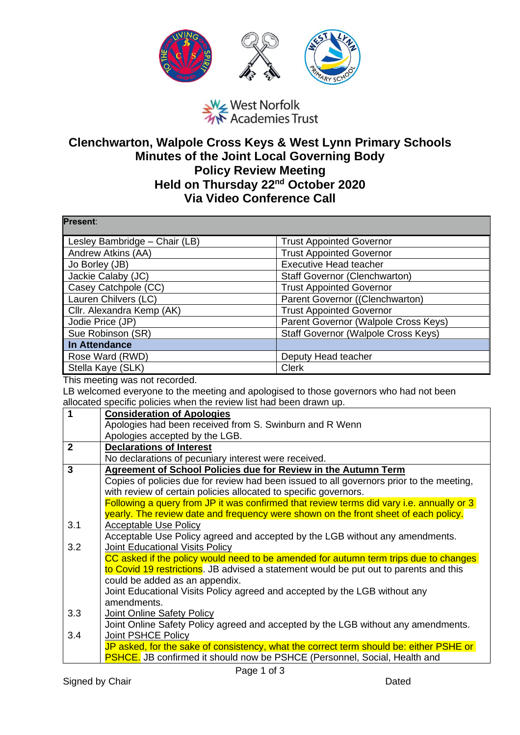

West Norfolk<br>West Norfolk<br>We Academies Trust

## **Clenchwarton, Walpole Cross Keys & West Lynn Primary Schools Minutes of the Joint Local Governing Body Policy Review Meeting Held on Thursday 22nd October 2020 Via Video Conference Call**

| Present:                      |                                                                                  |                                                                                          |  |
|-------------------------------|----------------------------------------------------------------------------------|------------------------------------------------------------------------------------------|--|
| Lesley Bambridge - Chair (LB) |                                                                                  | <b>Trust Appointed Governor</b>                                                          |  |
| Andrew Atkins (AA)            |                                                                                  | <b>Trust Appointed Governor</b>                                                          |  |
| Jo Borley (JB)                |                                                                                  | <b>Executive Head teacher</b>                                                            |  |
| Jackie Calaby (JC)            |                                                                                  | <b>Staff Governor (Clenchwarton)</b>                                                     |  |
| Casey Catchpole (CC)          |                                                                                  | <b>Trust Appointed Governor</b>                                                          |  |
| Lauren Chilvers (LC)          |                                                                                  | Parent Governor ((Clenchwarton)                                                          |  |
| Cllr. Alexandra Kemp (AK)     |                                                                                  | <b>Trust Appointed Governor</b>                                                          |  |
| Jodie Price (JP)              |                                                                                  | Parent Governor (Walpole Cross Keys)                                                     |  |
| Sue Robinson (SR)             |                                                                                  | Staff Governor (Walpole Cross Keys)                                                      |  |
| <b>In Attendance</b>          |                                                                                  |                                                                                          |  |
| Rose Ward (RWD)               |                                                                                  | Deputy Head teacher                                                                      |  |
|                               | Stella Kaye (SLK)                                                                | <b>Clerk</b>                                                                             |  |
|                               | This meeting was not recorded.                                                   |                                                                                          |  |
|                               |                                                                                  | LB welcomed everyone to the meeting and apologised to those governors who had not been   |  |
|                               | allocated specific policies when the review list had been drawn up.              |                                                                                          |  |
| $\mathbf{1}$                  | <b>Consideration of Apologies</b>                                                |                                                                                          |  |
|                               | Apologies had been received from S. Swinburn and R Wenn                          |                                                                                          |  |
|                               | Apologies accepted by the LGB.                                                   |                                                                                          |  |
| $\overline{2}$                | <b>Declarations of Interest</b>                                                  |                                                                                          |  |
| $\overline{3}$                | No declarations of pecuniary interest were received.                             |                                                                                          |  |
|                               | Agreement of School Policies due for Review in the Autumn Term                   | Copies of policies due for review had been issued to all governors prior to the meeting, |  |
|                               | with review of certain policies allocated to specific governors.                 |                                                                                          |  |
|                               |                                                                                  | Following a query from JP it was confirmed that review terms did vary i.e. annually or 3 |  |
|                               |                                                                                  | yearly. The review date and frequency were shown on the front sheet of each policy.      |  |
| 3.1                           | <b>Acceptable Use Policy</b>                                                     |                                                                                          |  |
|                               |                                                                                  | Acceptable Use Policy agreed and accepted by the LGB without any amendments.             |  |
| 3.2                           | <b>Joint Educational Visits Policy</b>                                           |                                                                                          |  |
|                               |                                                                                  | CC asked if the policy would need to be amended for autumn term trips due to changes     |  |
|                               |                                                                                  | to Covid 19 restrictions. JB advised a statement would be put out to parents and this    |  |
|                               | could be added as an appendix.                                                   |                                                                                          |  |
|                               | Joint Educational Visits Policy agreed and accepted by the LGB without any       |                                                                                          |  |
|                               | amendments.                                                                      |                                                                                          |  |
| 3.3                           | Joint Online Safety Policy                                                       |                                                                                          |  |
|                               |                                                                                  | Joint Online Safety Policy agreed and accepted by the LGB without any amendments.        |  |
| 3.4                           | Joint PSHCE Policy                                                               |                                                                                          |  |
|                               |                                                                                  | JP asked, for the sake of consistency, what the correct term should be: either PSHE or   |  |
|                               | <b>PSHCE.</b> JB confirmed it should now be PSHCE (Personnel, Social, Health and |                                                                                          |  |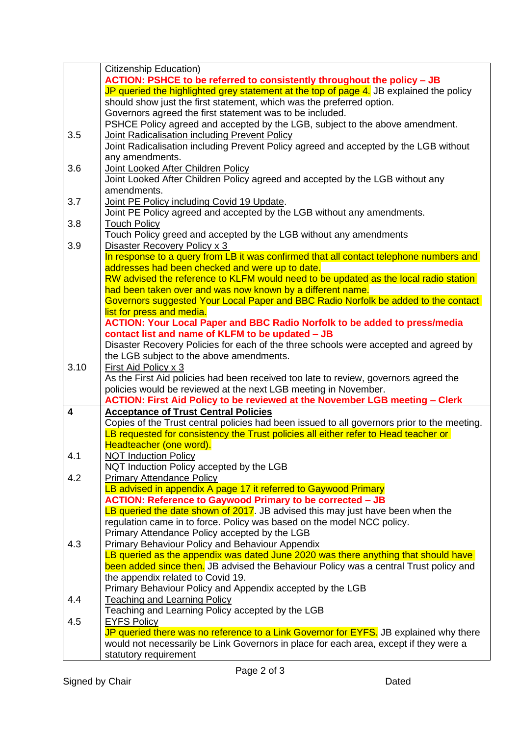|      | Citizenship Education)                                                                                                                             |  |
|------|----------------------------------------------------------------------------------------------------------------------------------------------------|--|
|      | ACTION: PSHCE to be referred to consistently throughout the policy - JB                                                                            |  |
|      | JP queried the highlighted grey statement at the top of page 4. JB explained the policy                                                            |  |
|      | should show just the first statement, which was the preferred option.                                                                              |  |
|      | Governors agreed the first statement was to be included.                                                                                           |  |
|      | PSHCE Policy agreed and accepted by the LGB, subject to the above amendment.                                                                       |  |
| 3.5  | Joint Radicalisation including Prevent Policy                                                                                                      |  |
|      | Joint Radicalisation including Prevent Policy agreed and accepted by the LGB without                                                               |  |
|      | any amendments.                                                                                                                                    |  |
| 3.6  | Joint Looked After Children Policy                                                                                                                 |  |
|      | Joint Looked After Children Policy agreed and accepted by the LGB without any                                                                      |  |
|      | amendments.                                                                                                                                        |  |
| 3.7  | Joint PE Policy including Covid 19 Update.                                                                                                         |  |
|      | Joint PE Policy agreed and accepted by the LGB without any amendments.                                                                             |  |
| 3.8  | <b>Touch Policy</b>                                                                                                                                |  |
|      | Touch Policy greed and accepted by the LGB without any amendments                                                                                  |  |
| 3.9  | Disaster Recovery Policy x 3                                                                                                                       |  |
|      | In response to a query from LB it was confirmed that all contact telephone numbers and                                                             |  |
|      | addresses had been checked and were up to date.                                                                                                    |  |
|      | RW advised the reference to KLFM would need to be updated as the local radio station<br>had been taken over and was now known by a different name. |  |
|      | Governors suggested Your Local Paper and BBC Radio Norfolk be added to the contact                                                                 |  |
|      | list for press and media.                                                                                                                          |  |
|      | <b>ACTION: Your Local Paper and BBC Radio Norfolk to be added to press/media</b>                                                                   |  |
|      | contact list and name of KLFM to be updated - JB                                                                                                   |  |
|      | Disaster Recovery Policies for each of the three schools were accepted and agreed by                                                               |  |
|      | the LGB subject to the above amendments.                                                                                                           |  |
| 3.10 | First Aid Policy x 3                                                                                                                               |  |
|      | As the First Aid policies had been received too late to review, governors agreed the                                                               |  |
|      | policies would be reviewed at the next LGB meeting in November.                                                                                    |  |
|      | ACTION: First Aid Policy to be reviewed at the November LGB meeting - Clerk                                                                        |  |
| 4    | <b>Acceptance of Trust Central Policies</b>                                                                                                        |  |
|      | Copies of the Trust central policies had been issued to all governors prior to the meeting.                                                        |  |
|      | LB requested for consistency the Trust policies all either refer to Head teacher or                                                                |  |
|      | Headteacher (one word).                                                                                                                            |  |
| 4.1  | <b>NQT Induction Policy</b>                                                                                                                        |  |
|      | NQT Induction Policy accepted by the LGB                                                                                                           |  |
| 4.2  | <b>Primary Attendance Policy</b>                                                                                                                   |  |
|      | LB advised in appendix A page 17 it referred to Gaywood Primary                                                                                    |  |
|      | <b>ACTION: Reference to Gaywood Primary to be corrected - JB</b>                                                                                   |  |
|      | LB queried the date shown of 2017. JB advised this may just have been when the                                                                     |  |
|      | regulation came in to force. Policy was based on the model NCC policy.                                                                             |  |
|      | Primary Attendance Policy accepted by the LGB                                                                                                      |  |
| 4.3  | <b>Primary Behaviour Policy and Behaviour Appendix</b>                                                                                             |  |
|      | LB queried as the appendix was dated June 2020 was there anything that should have                                                                 |  |
|      | been added since then. JB advised the Behaviour Policy was a central Trust policy and<br>the appendix related to Covid 19.                         |  |
|      | Primary Behaviour Policy and Appendix accepted by the LGB                                                                                          |  |
| 4.4  | <b>Teaching and Learning Policy</b>                                                                                                                |  |
|      | Teaching and Learning Policy accepted by the LGB                                                                                                   |  |
| 4.5  | <b>EYFS Policy</b>                                                                                                                                 |  |
|      | JP queried there was no reference to a Link Governor for EYFS. JB explained why there                                                              |  |
|      | would not necessarily be Link Governors in place for each area, except if they were a                                                              |  |
|      | statutory requirement                                                                                                                              |  |